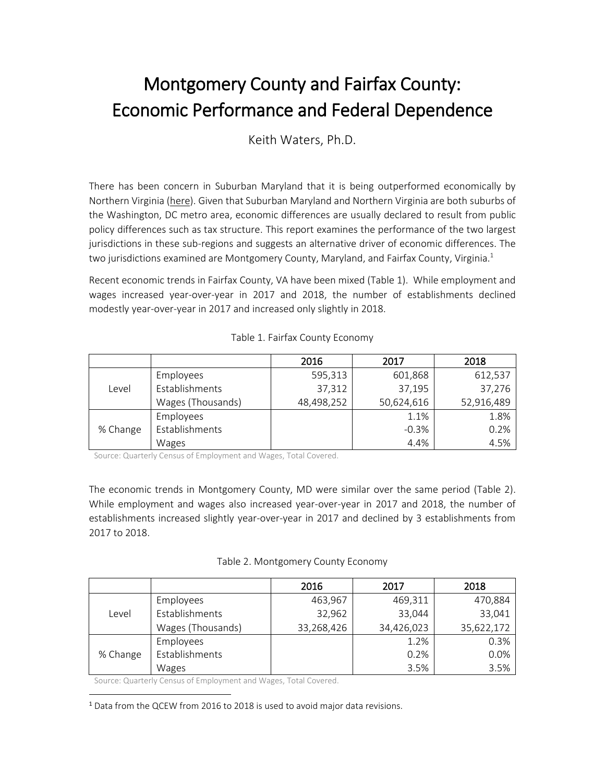## Montgomery County and Fairfax County: Economic Performance and Federal Dependence

Keith Waters, Ph.D.

There has been concern in Suburban Maryland that it is being outperformed economically by Northern Virginia [\(here\)](https://www.bizjournals.com/washington/news/2019/11/12/montgomery-county-pitches-a-new-economic.html). Given that Suburban Maryland and Northern Virginia are both suburbs of the Washington, DC metro area, economic differences are usually declared to result from public policy differences such as tax structure. This report examines the performance of the two largest jurisdictions in these sub-regions and suggests an alternative driver of economic differences. The two jurisdictions examined are Montgomery County, Maryland, and Fairfax County, Virginia. 1

Recent economic trends in Fairfax County, VA have been mixed (Table 1). While employment and wages increased year-over-year in 2017 and 2018, the number of establishments declined modestly year-over-year in 2017 and increased only slightly in 2018.

|          |                   | 2016       | 2017       | 2018       |
|----------|-------------------|------------|------------|------------|
| Level    | Employees         | 595,313    | 601,868    | 612,537    |
|          | Establishments    | 37,312     | 37,195     | 37,276     |
|          | Wages (Thousands) | 48,498,252 | 50,624,616 | 52,916,489 |
| % Change | Employees         |            | 1.1%       | 1.8%       |
|          | Establishments    |            | $-0.3%$    | 0.2%       |
|          | Wages             |            | 4.4%       | 4.5%       |

## Table 1. Fairfax County Economy

Source: Quarterly Census of Employment and Wages, Total Covered.

The economic trends in Montgomery County, MD were similar over the same period (Table 2). While employment and wages also increased year-over-year in 2017 and 2018, the number of establishments increased slightly year-over-year in 2017 and declined by 3 establishments from 2017 to 2018.

| Table 2. Montgomery County Economy |  |
|------------------------------------|--|
|------------------------------------|--|

|          |                   | 2016       | 2017       | 2018       |
|----------|-------------------|------------|------------|------------|
| Level    | Employees         | 463,967    | 469,311    | 470,884    |
|          | Establishments    | 32,962     | 33,044     | 33,041     |
|          | Wages (Thousands) | 33,268,426 | 34,426,023 | 35,622,172 |
| % Change | Employees         |            | 1.2%       | 0.3%       |
|          | Establishments    |            | 0.2%       | 0.0%       |
|          | Wages             |            | 3.5%       | 3.5%       |

Source: Quarterly Census of Employment and Wages, Total Covered.

 $\overline{\phantom{a}}$ 

<sup>1</sup> Data from the QCEW from 2016 to 2018 is used to avoid major data revisions.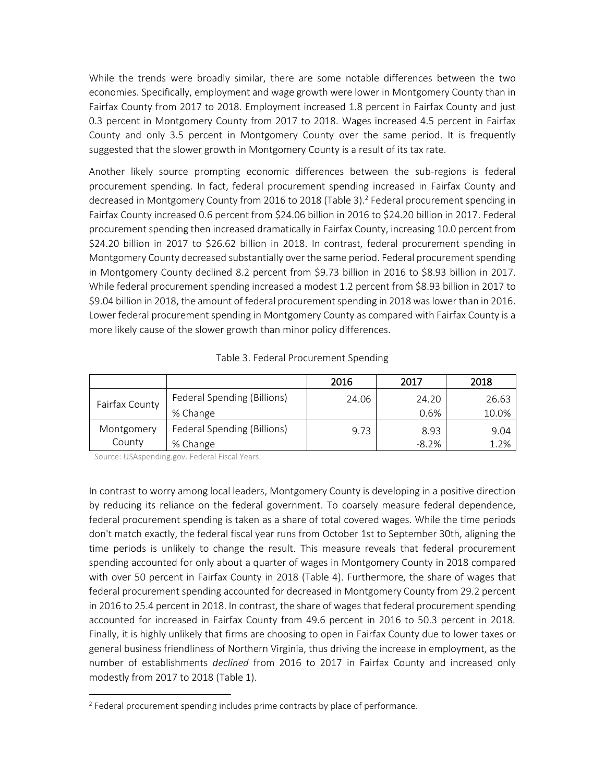While the trends were broadly similar, there are some notable differences between the two economies. Specifically, employment and wage growth were lower in Montgomery County than in Fairfax County from 2017 to 2018. Employment increased 1.8 percent in Fairfax County and just 0.3 percent in Montgomery County from 2017 to 2018. Wages increased 4.5 percent in Fairfax County and only 3.5 percent in Montgomery County over the same period. It is frequently suggested that the slower growth in Montgomery County is a result of its tax rate.

Another likely source prompting economic differences between the sub-regions is federal procurement spending. In fact, federal procurement spending increased in Fairfax County and decreased in Montgomery County from 2016 to 2018 (Table 3). 2 Federal procurement spending in Fairfax County increased 0.6 percent from \$24.06 billion in 2016 to \$24.20 billion in 2017. Federal procurement spending then increased dramatically in Fairfax County, increasing 10.0 percent from \$24.20 billion in 2017 to \$26.62 billion in 2018. In contrast, federal procurement spending in Montgomery County decreased substantially over the same period. Federal procurement spending in Montgomery County declined 8.2 percent from \$9.73 billion in 2016 to \$8.93 billion in 2017. While federal procurement spending increased a modest 1.2 percent from \$8.93 billion in 2017 to \$9.04 billion in 2018, the amount of federal procurement spending in 2018 was lower than in 2016. Lower federal procurement spending in Montgomery County as compared with Fairfax County is a more likely cause of the slower growth than minor policy differences.

|                |                             | 2016  | 2017    | 2018  |
|----------------|-----------------------------|-------|---------|-------|
| Fairfax County | Federal Spending (Billions) | 24.06 | 24.20   | 26.63 |
|                | % Change                    |       | 0.6%    | 10.0% |
| Montgomery     | Federal Spending (Billions) | 9.73  | 8.93    | 9.04  |
| County         | % Change                    |       | $-8.2%$ | 1.2%  |

Table 3. Federal Procurement Spending

Source: USAspending.gov. Federal Fiscal Years.

 $\overline{\phantom{a}}$ 

In contrast to worry among local leaders, Montgomery County is developing in a positive direction by reducing its reliance on the federal government. To coarsely measure federal dependence, federal procurement spending is taken as a share of total covered wages. While the time periods don't match exactly, the federal fiscal year runs from October 1st to September 30th, aligning the time periods is unlikely to change the result. This measure reveals that federal procurement spending accounted for only about a quarter of wages in Montgomery County in 2018 compared with over 50 percent in Fairfax County in 2018 (Table 4). Furthermore, the share of wages that federal procurement spending accounted for decreased in Montgomery County from 29.2 percent in 2016 to 25.4 percent in 2018. In contrast, the share of wages that federal procurement spending accounted for increased in Fairfax County from 49.6 percent in 2016 to 50.3 percent in 2018. Finally, it is highly unlikely that firms are choosing to open in Fairfax County due to lower taxes or general business friendliness of Northern Virginia, thus driving the increase in employment, as the number of establishments *declined* from 2016 to 2017 in Fairfax County and increased only modestly from 2017 to 2018 (Table 1).

<sup>&</sup>lt;sup>2</sup> Federal procurement spending includes prime contracts by place of performance.